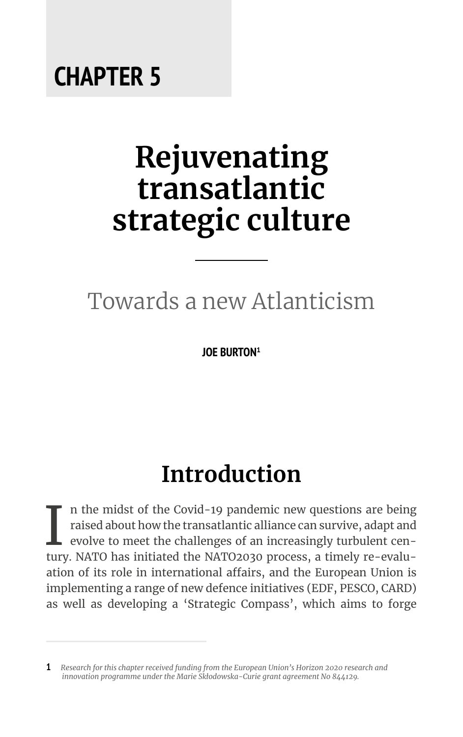### **CHAPTER 5**

# **Rejuvenating transatlantic strategic culture**

### Towards a new Atlanticism

**JOE BURTON<sup>1</sup>**

# **Introduction**

In the midst of the Covid-19 pandemic new questions are being raised about how the transatlantic alliance can survive, adapt and evolve to meet the challenges of an increasingly turbulent century. NATO has initiated the NA n the midst of the Covid-19 pandemic new questions are being raised about how the transatlantic alliance can survive, adapt and evolve to meet the challenges of an increasingly turbulent cenation of its role in international affairs, and the European Union is implementing a range of new defence initiatives (EDF, PESCO, CARD) as well as developing a 'Strategic Compass', which aims to forge

**<sup>1</sup>** *Research for this chapter received funding from the European Union's Horizon 2020 research and innovation programme under the Marie Skłodowska-Curie grant agreement No 844129.*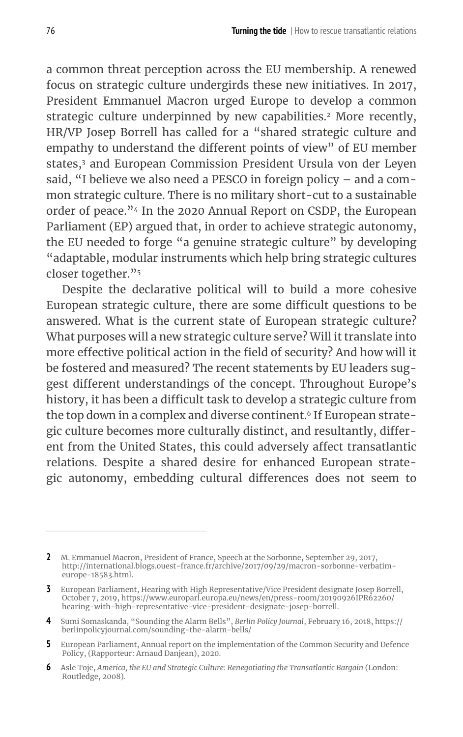a common threat perception across the EU membership. A renewed focus on strategic culture undergirds these new initiatives. In 2017, President Emmanuel Macron urged Europe to develop a common strategic culture underpinned by new capabilities.<sup>2</sup> More recently, HR/VP Josep Borrell has called for a "shared strategic culture and empathy to understand the different points of view" of EU member states,3 and European Commission President Ursula von der Leyen said, "I believe we also need a PESCO in foreign policy – and a common strategic culture. There is no military short-cut to a sustainable order of peace."4 In the 2020 Annual Report on CSDP, the European Parliament (EP) argued that, in order to achieve strategic autonomy, the EU needed to forge "a genuine strategic culture" by developing "adaptable, modular instruments which help bring strategic cultures closer together."<sup>5</sup>

Despite the declarative political will to build a more cohesive European strategic culture, there are some difficult questions to be answered. What is the current state of European strategic culture? What purposes will a new strategic culture serve? Will it translate into more effective political action in the field of security? And how will it be fostered and measured? The recent statements by EU leaders suggest different understandings of the concept. Throughout Europe's history, it has been a difficult task to develop a strategic culture from the top down in a complex and diverse continent.<sup>6</sup> If European strategic culture becomes more culturally distinct, and resultantly, different from the United States, this could adversely affect transatlantic relations. Despite a shared desire for enhanced European strategic autonomy, embedding cultural differences does not seem to

**6** Asle Toje, *America, the EU and Strategic Culture: Renegotiating the Transatlantic Bargain* (London: Routledge, 2008).

**<sup>2</sup>** M. Emmanuel Macron, President of France, Speech at the Sorbonne, September 29, 2017, http://international.blogs.ouest-france.fr/archive/2017/09/29/macron-sorbonne-verbatimeurope-18583.html.

**<sup>3</sup>** European Parliament, Hearing with High Representative/Vice President designate Josep Borrell, October 7, 2019, https://www.europarl.europa.eu/news/en/press-room/20190926IPR62260/ hearing-with-high-representative-vice-president-designate-josep-borrell.

**<sup>4</sup>** Sumi Somaskanda, "Sounding the Alarm Bells", *Berlin Policy Journal*, February 16, 2018, https:// berlinpolicyjournal.com/sounding-the-alarm-bells/

**<sup>5</sup>** European Parliament, Annual report on the implementation of the Common Security and Defence Policy, (Rapporteur: Arnaud Danjean), 2020.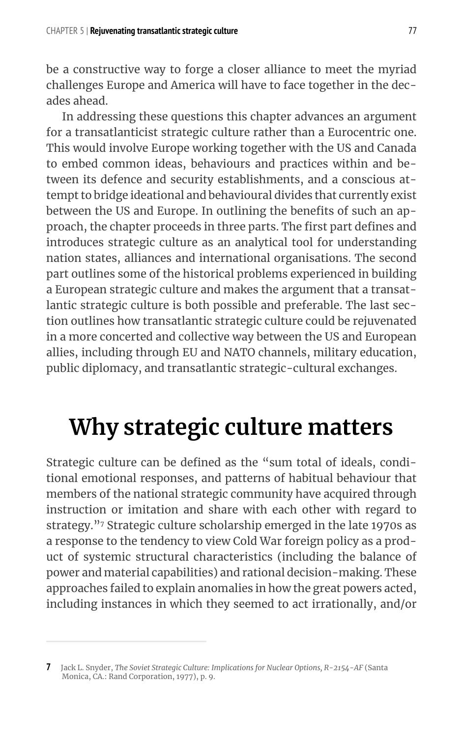be a constructive way to forge a closer alliance to meet the myriad challenges Europe and America will have to face together in the decades ahead.

In addressing these questions this chapter advances an argument for a transatlanticist strategic culture rather than a Eurocentric one. This would involve Europe working together with the US and Canada to embed common ideas, behaviours and practices within and between its defence and security establishments, and a conscious attempt to bridge ideational and behavioural divides that currently exist between the US and Europe. In outlining the benefits of such an approach, the chapter proceeds in three parts. The first part defines and introduces strategic culture as an analytical tool for understanding nation states, alliances and international organisations. The second part outlines some of the historical problems experienced in building a European strategic culture and makes the argument that a transatlantic strategic culture is both possible and preferable. The last section outlines how transatlantic strategic culture could be rejuvenated in a more concerted and collective way between the US and European allies, including through EU and NATO channels, military education, public diplomacy, and transatlantic strategic-cultural exchanges.

### **Why strategic culture matters**

Strategic culture can be defined as the "sum total of ideals, conditional emotional responses, and patterns of habitual behaviour that members of the national strategic community have acquired through instruction or imitation and share with each other with regard to strategy."7 Strategic culture scholarship emerged in the late 1970s as a response to the tendency to view Cold War foreign policy as a product of systemic structural characteristics (including the balance of power and material capabilities) and rational decision-making. These approaches failed to explain anomalies in how the great powers acted, including instances in which they seemed to act irrationally, and/or

**<sup>7</sup>** Jack L. Snyder, *The Soviet Strategic Culture: Implications for Nuclear Options, R-2154-AF* (Santa Monica, CA.: Rand Corporation, 1977), p. 9.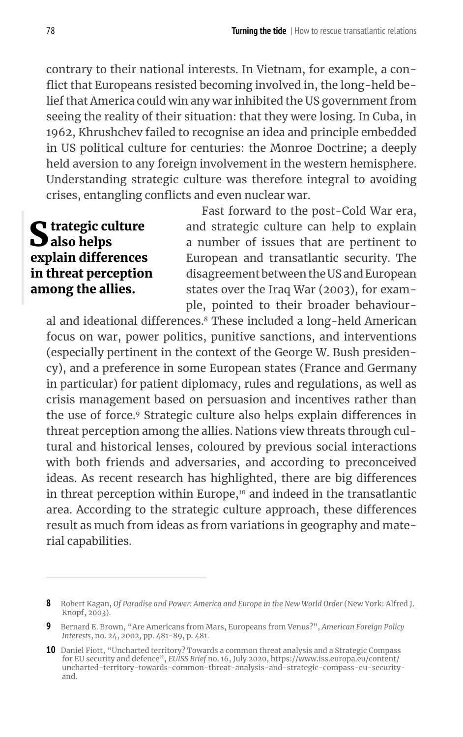contrary to their national interests. In Vietnam, for example, a conflict that Europeans resisted becoming involved in, the long-held belief that America could win any war inhibited the US government from seeing the reality of their situation: that they were losing. In Cuba, in 1962, Khrushchev failed to recognise an idea and principle embedded in US political culture for centuries: the Monroe Doctrine; a deeply held aversion to any foreign involvement in the western hemisphere. Understanding strategic culture was therefore integral to avoiding crises, entangling conflicts and even nuclear war.

#### S trategic culture<br>Salso helps explain differences in threat perception among the allies.

Fast forward to the post-Cold War era, and strategic culture can help to explain a number of issues that are pertinent to European and transatlantic security. The disagreement between the US and European states over the Iraq War (2003), for example, pointed to their broader behaviour-

al and ideational differences.<sup>8</sup> These included a long-held American focus on war, power politics, punitive sanctions, and interventions (especially pertinent in the context of the George W. Bush presidency), and a preference in some European states (France and Germany in particular) for patient diplomacy, rules and regulations, as well as crisis management based on persuasion and incentives rather than the use of force.<sup>9</sup> Strategic culture also helps explain differences in threat perception among the allies. Nations view threats through cultural and historical lenses, coloured by previous social interactions with both friends and adversaries, and according to preconceived ideas. As recent research has highlighted, there are big differences in threat perception within Europe, $10$  and indeed in the transatlantic area. According to the strategic culture approach, these differences result as much from ideas as from variations in geography and material capabilities.

**<sup>8</sup>** Robert Kagan, *Of Paradise and Power: America and Europe in the New World Order* (New York: Alfred J. Knopf, 2003).

**<sup>9</sup>** Bernard E. Brown, "Are Americans from Mars, Europeans from Venus?", *American Foreign Policy Interests*, no. 24, 2002, pp. 481-89, p. 481.

**<sup>10</sup>** Daniel Fiott, "Uncharted territory? Towards a common threat analysis and a Strategic Compass for EU security and defence", *EUISS Brief* no. 16, July 2020, https://www.iss.europa.eu/content/ uncharted-territory-towards-common-threat-analysis-and-strategic-compass-eu-securityand.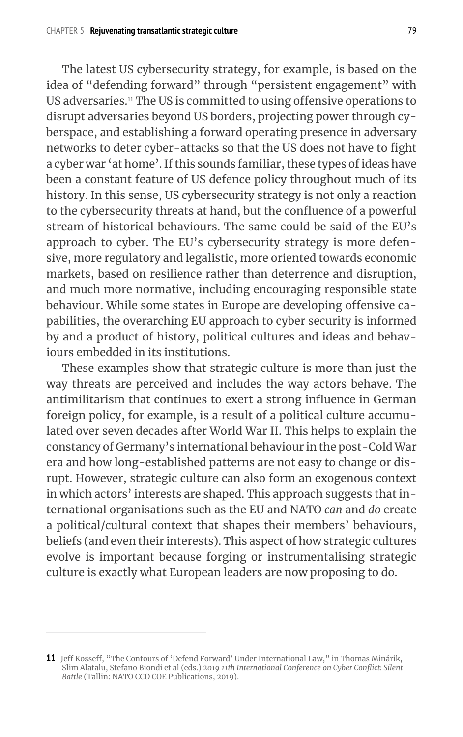The latest US cybersecurity strategy, for example, is based on the idea of "defending forward" through "persistent engagement" with US adversaries.11 The US is committed to using offensive operations to disrupt adversaries beyond US borders, projecting power through cyberspace, and establishing a forward operating presence in adversary networks to deter cyber-attacks so that the US does not have to fight a cyber war 'at home'. If this sounds familiar, these types of ideas have been a constant feature of US defence policy throughout much of its history. In this sense, US cybersecurity strategy is not only a reaction to the cybersecurity threats at hand, but the confluence of a powerful stream of historical behaviours. The same could be said of the EU's approach to cyber. The EU's cybersecurity strategy is more defensive, more regulatory and legalistic, more oriented towards economic markets, based on resilience rather than deterrence and disruption, and much more normative, including encouraging responsible state behaviour. While some states in Europe are developing offensive capabilities, the overarching EU approach to cyber security is informed by and a product of history, political cultures and ideas and behaviours embedded in its institutions.

These examples show that strategic culture is more than just the way threats are perceived and includes the way actors behave. The antimilitarism that continues to exert a strong influence in German foreign policy, for example, is a result of a political culture accumulated over seven decades after World War II. This helps to explain the constancy of Germany's international behaviour in the post-Cold War era and how long-established patterns are not easy to change or disrupt. However, strategic culture can also form an exogenous context in which actors' interests are shaped. This approach suggests that international organisations such as the EU and NATO *can* and *do* create a political/cultural context that shapes their members' behaviours, beliefs (and even their interests). This aspect of how strategic cultures evolve is important because forging or instrumentalising strategic culture is exactly what European leaders are now proposing to do.

**<sup>11</sup>** Jeff Kosseff, "The Contours of 'Defend Forward' Under International Law," in Thomas Minárik, Slim Alatalu, Stefano Biondi et al (eds.) *2019 11th International Conference on Cyber Conflict: Silent Battle* (Tallin: NATO CCD COE Publications, 2019).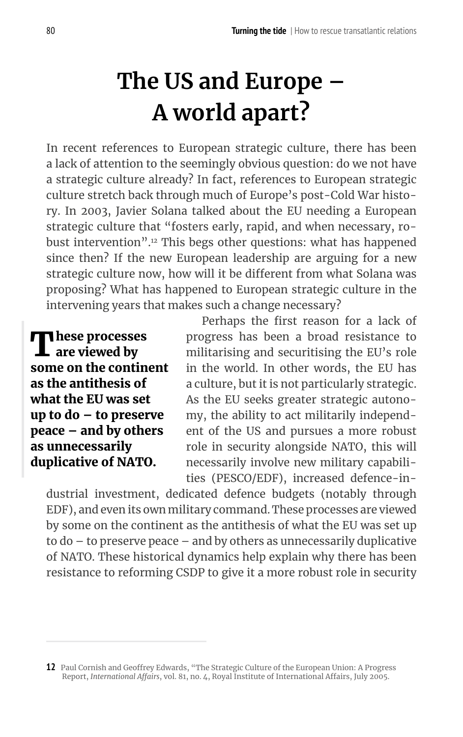# **The US and Europe – A world apart?**

In recent references to European strategic culture, there has been a lack of attention to the seemingly obvious question: do we not have a strategic culture already? In fact, references to European strategic culture stretch back through much of Europe's post-Cold War history. In 2003, Javier Solana talked about the EU needing a European strategic culture that "fosters early, rapid, and when necessary, robust intervention".12 This begs other questions: what has happened since then? If the new European leadership are arguing for a new strategic culture now, how will it be different from what Solana was proposing? What has happened to European strategic culture in the intervening years that makes such a change necessary?

**T** hese processes<br>**L** are viewed by some on the continent as the antithesis of what the EU was set up to do – to preserve peace – and by others as unnecessarily duplicative of NATO.

Perhaps the first reason for a lack of progress has been a broad resistance to militarising and securitising the EU's role in the world. In other words, the EU has a culture, but it is not particularly strategic. As the EU seeks greater strategic autonomy, the ability to act militarily independent of the US and pursues a more robust role in security alongside NATO, this will necessarily involve new military capabilities (PESCO/EDF), increased defence-in-

dustrial investment, dedicated defence budgets (notably through EDF), and even its own military command. These processes are viewed by some on the continent as the antithesis of what the EU was set up to do – to preserve peace – and by others as unnecessarily duplicative of NATO. These historical dynamics help explain why there has been resistance to reforming CSDP to give it a more robust role in security

**<sup>12</sup>** Paul Cornish and Geoffrey Edwards, "The Strategic Culture of the European Union: A Progress Report, *International Affairs*, vol. 81, no. 4, Royal Institute of International Affairs, July 2005.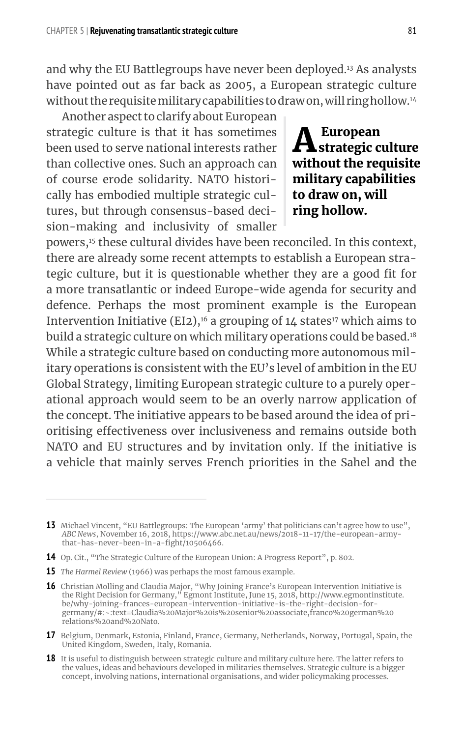and why the EU Battlegroups have never been deployed.13 As analysts have pointed out as far back as 2005, a European strategic culture without the requisite military capabilities to draw on, will ring hollow.<sup>14</sup>

Another aspect to clarify about European strategic culture is that it has sometimes been used to serve national interests rather than collective ones. Such an approach can of course erode solidarity. NATO historically has embodied multiple strategic cultures, but through consensus-based decision-making and inclusivity of smaller

 ${\bf A}$ European<br>strategic culture without the requisite military capabilities to draw on, will ring hollow.

powers,<sup>15</sup> these cultural divides have been reconciled. In this context, there are already some recent attempts to establish a European strategic culture, but it is questionable whether they are a good fit for a more transatlantic or indeed Europe-wide agenda for security and defence. Perhaps the most prominent example is the European Intervention Initiative (EI2),<sup>16</sup> a grouping of 14 states<sup>17</sup> which aims to build a strategic culture on which military operations could be based.<sup>18</sup> While a strategic culture based on conducting more autonomous military operations is consistent with the EU's level of ambition in the EU Global Strategy, limiting European strategic culture to a purely operational approach would seem to be an overly narrow application of the concept. The initiative appears to be based around the idea of prioritising effectiveness over inclusiveness and remains outside both NATO and EU structures and by invitation only. If the initiative is a vehicle that mainly serves French priorities in the Sahel and the

**15** *The Harmel Review* (1966) was perhaps the most famous example.

**17** Belgium, Denmark, Estonia, Finland, France, Germany, Netherlands, Norway, Portugal, Spain, the United Kingdom, Sweden, Italy, Romania.

**<sup>13</sup>** Michael Vincent, "EU Battlegroups: The European 'army' that politicians can't agree how to use", *ABC News*, November 16, 2018, https://www.abc.net.au/news/2018-11-17/the-european-armythat-has-never-been-in-a-fight/10506466.

**<sup>14</sup>** Op. Cit., "The Strategic Culture of the European Union: A Progress Report", p. 802.

**<sup>16</sup>** Christian Molling and Claudia Major, "Why Joining France's European Intervention Initiative is the Right Decision for Germany," Egmont Institute, June 15, 2018, http://www.egmontinstitute. be/why-joining-frances-european-intervention-initiative-is-the-right-decision-forgermany/#:~:text=Claudia%20Major%20is%20senior%20associate,franco%20german%20 relations%20and%20Nato.

**<sup>18</sup>** It is useful to distinguish between strategic culture and military culture here. The latter refers to the values, ideas and behaviours developed in militaries themselves. Strategic culture is a bigger concept, involving nations, international organisations, and wider policymaking processes.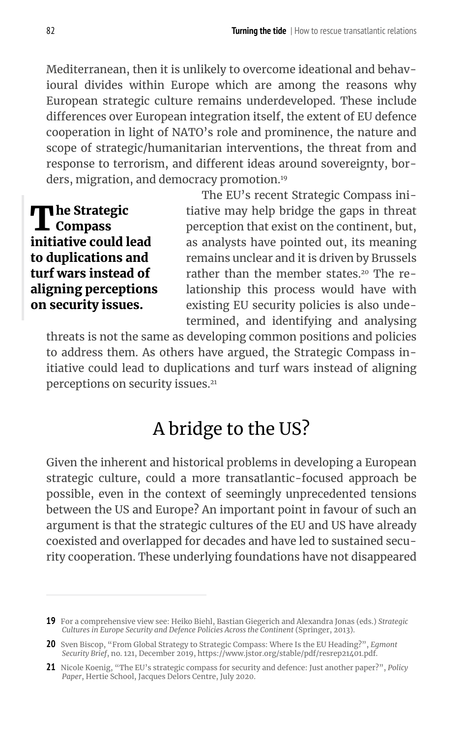Mediterranean, then it is unlikely to overcome ideational and behavioural divides within Europe which are among the reasons why European strategic culture remains underdeveloped. These include differences over European integration itself, the extent of EU defence cooperation in light of NATO's role and prominence, the nature and scope of strategic/humanitarian interventions, the threat from and response to terrorism, and different ideas around sovereignty, borders, migration, and democracy promotion.<sup>19</sup>

**The Strategic** Compass initiative could lead to duplications and turf wars instead of aligning perceptions on security issues.

The EU's recent Strategic Compass initiative may help bridge the gaps in threat perception that exist on the continent, but, as analysts have pointed out, its meaning remains unclear and it is driven by Brussels rather than the member states.<sup>20</sup> The relationship this process would have with existing EU security policies is also undetermined, and identifying and analysing

threats is not the same as developing common positions and policies to address them. As others have argued, the Strategic Compass initiative could lead to duplications and turf wars instead of aligning perceptions on security issues.<sup>21</sup>

#### A bridge to the US?

Given the inherent and historical problems in developing a European strategic culture, could a more transatlantic-focused approach be possible, even in the context of seemingly unprecedented tensions between the US and Europe? An important point in favour of such an argument is that the strategic cultures of the EU and US have already coexisted and overlapped for decades and have led to sustained security cooperation. These underlying foundations have not disappeared

**<sup>19</sup>** For a comprehensive view see: Heiko Biehl, Bastian Giegerich and Alexandra Jonas (eds.) *Strategic Cultures in Europe Security and Defence Policies Across the Continent* (Springer, 2013).

**<sup>20</sup>** Sven Biscop, "From Global Strategy to Strategic Compass: Where Is the EU Heading?", *Egmont Security Brief*, no. 121, December 2019, https://www.jstor.org/stable/pdf/resrep21401.pdf.

**<sup>21</sup>** Nicole Koenig, "The EU's strategic compass for security and defence: Just another paper?", *Policy Paper*, Hertie School, Jacques Delors Centre, July 2020.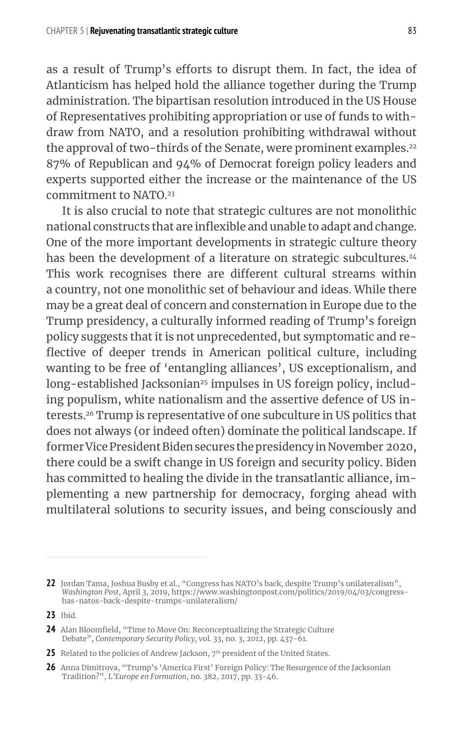as a result of Trump's efforts to disrupt them. In fact, the idea of Atlanticism has helped hold the alliance together during the Trump administration. The bipartisan resolution introduced in the US House of Representatives prohibiting appropriation or use of funds to withdraw from NATO, and a resolution prohibiting withdrawal without the approval of two-thirds of the Senate, were prominent examples.<sup>22</sup> 87% of Republican and 94% of Democrat foreign policy leaders and experts supported either the increase or the maintenance of the US commitment to NATO.<sup>23</sup>

It is also crucial to note that strategic cultures are not monolithic national constructs that are inflexible and unable to adapt and change. One of the more important developments in strategic culture theory has been the development of a literature on strategic subcultures.<sup>24</sup> This work recognises there are different cultural streams within a country, not one monolithic set of behaviour and ideas. While there may be a great deal of concern and consternation in Europe due to the Trump presidency, a culturally informed reading of Trump's foreign policy suggests that it is not unprecedented, but symptomatic and reflective of deeper trends in American political culture, including wanting to be free of 'entangling alliances', US exceptionalism, and long-established Jacksonian<sup>25</sup> impulses in US foreign policy, including populism, white nationalism and the assertive defence of US interests.26 Trump is representative of one subculture in US politics that does not always (or indeed often) dominate the political landscape. If former Vice President Biden secures the presidency in November 2020, there could be a swift change in US foreign and security policy. Biden has committed to healing the divide in the transatlantic alliance, implementing a new partnership for democracy, forging ahead with multilateral solutions to security issues, and being consciously and

**<sup>22</sup>** Jordan Tama, Joshua Busby et al., "Congress has NATO's back, despite Trump's unilateralism", *Washington Post*, April 3, 2019, https://www.washingtonpost.com/politics/2019/04/03/congresshas-natos-back-despite-trumps-unilateralism/

**<sup>23</sup>** Ibid.

**<sup>24</sup>** Alan Bloomfield, "Time to Move On: Reconceptualizing the Strategic Culture Debate", *Contemporary Security Policy,* vol. 33, no. 3, 2012, pp. 437-61.

<sup>25</sup> Related to the policies of Andrew Jackson, 7<sup>th</sup> president of the United States.

**<sup>26</sup>** Anna Dimitrova, "Trump's 'America First' Foreign Policy: The Resurgence of the Jacksonian Tradition?", *L'Europe en Formation*, no. 382, 2017, pp. 33-46.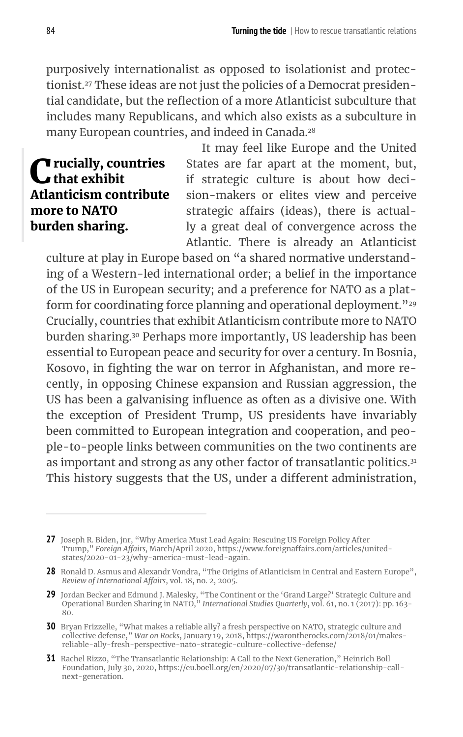purposively internationalist as opposed to isolationist and protectionist.27 These ideas are not just the policies of a Democrat presidential candidate, but the reflection of a more Atlanticist subculture that includes many Republicans, and which also exists as a subculture in many European countries, and indeed in Canada.<sup>28</sup>

#### **C** rucially, countries Atlanticism contribute more to NATO burden sharing.

It may feel like Europe and the United States are far apart at the moment, but, if strategic culture is about how decision-makers or elites view and perceive strategic affairs (ideas), there is actually a great deal of convergence across the Atlantic. There is already an Atlanticist

culture at play in Europe based on "a shared normative understanding of a Western-led international order; a belief in the importance of the US in European security; and a preference for NATO as a platform for coordinating force planning and operational deployment."<sup>29</sup> Crucially, countries that exhibit Atlanticism contribute more to NATO burden sharing.<sup>30</sup> Perhaps more importantly, US leadership has been essential to European peace and security for over a century. In Bosnia, Kosovo, in fighting the war on terror in Afghanistan, and more recently, in opposing Chinese expansion and Russian aggression, the US has been a galvanising influence as often as a divisive one. With the exception of President Trump, US presidents have invariably been committed to European integration and cooperation, and people-to-people links between communities on the two continents are as important and strong as any other factor of transatlantic politics.<sup>31</sup> This history suggests that the US, under a different administration,

**<sup>27</sup>** Joseph R. Biden, jnr, "Why America Must Lead Again: Rescuing US Foreign Policy After Trump," *Foreign Affairs,* March/April 2020, https://www.foreignaffairs.com/articles/unitedstates/2020-01-23/why-america-must-lead-again.

**<sup>28</sup>** Ronald D. Asmus and Alexandr Vondra, "The Origins of Atlanticism in Central and Eastern Europe", *Review of International Affairs*, vol. 18, no. 2, 2005.

**<sup>29</sup>** Jordan Becker and Edmund J. Malesky, "The Continent or the 'Grand Large?' Strategic Culture and Operational Burden Sharing in NATO," *International Studies Quarterly*, vol. 61, no. 1 (2017): pp. 163- 80.

**<sup>30</sup>** Bryan Frizzelle, "What makes a reliable ally? a fresh perspective on NATO, strategic culture and collective defense," *War on Rocks*, January 19, 2018, https://warontherocks.com/2018/01/makesreliable-ally-fresh-perspective-nato-strategic-culture-collective-defense/

**<sup>31</sup>** Rachel Rizzo, "The Transatlantic Relationship: A Call to the Next Generation," Heinrich Boll Foundation, July 30, 2020, https://eu.boell.org/en/2020/07/30/transatlantic-relationship-callnext-generation.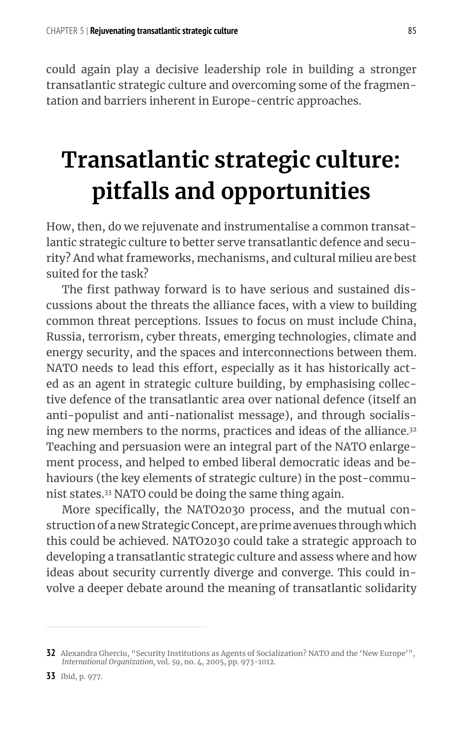could again play a decisive leadership role in building a stronger transatlantic strategic culture and overcoming some of the fragmentation and barriers inherent in Europe-centric approaches.

# **Transatlantic strategic culture: pitfalls and opportunities**

How, then, do we rejuvenate and instrumentalise a common transatlantic strategic culture to better serve transatlantic defence and security? And what frameworks, mechanisms, and cultural milieu are best suited for the task?

The first pathway forward is to have serious and sustained discussions about the threats the alliance faces, with a view to building common threat perceptions. Issues to focus on must include China, Russia, terrorism, cyber threats, emerging technologies, climate and energy security, and the spaces and interconnections between them. NATO needs to lead this effort, especially as it has historically acted as an agent in strategic culture building, by emphasising collective defence of the transatlantic area over national defence (itself an anti-populist and anti-nationalist message), and through socialising new members to the norms, practices and ideas of the alliance.<sup>32</sup> Teaching and persuasion were an integral part of the NATO enlargement process, and helped to embed liberal democratic ideas and behaviours (the key elements of strategic culture) in the post-communist states.33 NATO could be doing the same thing again.

More specifically, the NATO2030 process, and the mutual construction of a new Strategic Concept, are prime avenues through which this could be achieved. NATO2030 could take a strategic approach to developing a transatlantic strategic culture and assess where and how ideas about security currently diverge and converge. This could involve a deeper debate around the meaning of transatlantic solidarity

**<sup>32</sup>** Alexandra Gherciu, "Security Institutions as Agents of Socialization? NATO and the 'New Europe'", *International Organization,* vol. *59*, no. 4, 2005, pp. 973-1012.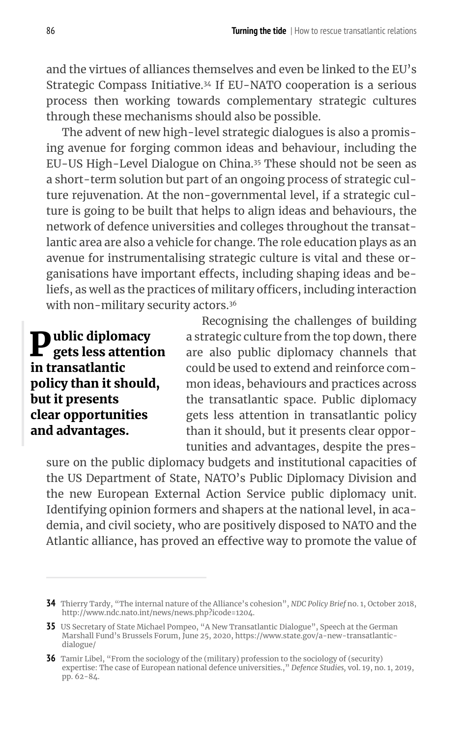and the virtues of alliances themselves and even be linked to the EU's Strategic Compass Initiative.34 If EU-NATO cooperation is a serious process then working towards complementary strategic cultures through these mechanisms should also be possible.

The advent of new high-level strategic dialogues is also a promising avenue for forging common ideas and behaviour, including the EU-US High-Level Dialogue on China.<sup>35</sup> These should not be seen as a short-term solution but part of an ongoing process of strategic culture rejuvenation. At the non-governmental level, if a strategic culture is going to be built that helps to align ideas and behaviours, the network of defence universities and colleges throughout the transatlantic area are also a vehicle for change. The role education plays as an avenue for instrumentalising strategic culture is vital and these organisations have important effects, including shaping ideas and beliefs, as well as the practices of military officers, including interaction with non-military security actors.<sup>36</sup>

 $\mathbf{P}^{\text{ublic diplomacy}}_{\text{gets less attention}}$ in transatlantic policy than it should, but it presents clear opportunities and advantages.

Recognising the challenges of building a strategic culture from the top down, there are also public diplomacy channels that could be used to extend and reinforce common ideas, behaviours and practices across the transatlantic space. Public diplomacy gets less attention in transatlantic policy than it should, but it presents clear opportunities and advantages, despite the pres-

sure on the public diplomacy budgets and institutional capacities of the US Department of State, NATO's Public Diplomacy Division and the new European External Action Service public diplomacy unit. Identifying opinion formers and shapers at the national level, in academia, and civil society, who are positively disposed to NATO and the Atlantic alliance, has proved an effective way to promote the value of

**<sup>34</sup>** Thierry Tardy, "The internal nature of the Alliance's cohesion", *NDC Policy Brief* no. 1, October 2018, http://www.ndc.nato.int/news/news.php?icode=1204.

**<sup>35</sup>** US Secretary of State Michael Pompeo, "A New Transatlantic Dialogue", Speech at the German Marshall Fund's Brussels Forum, June 25, 2020, https://www.state.gov/a-new-transatlanticdialogue/

**<sup>36</sup>** Tamir Libel, "From the sociology of the (military) profession to the sociology of (security) expertise: The case of European national defence universities.," *Defence Studies,* vol. 19, no. 1, 2019, pp. 62-84.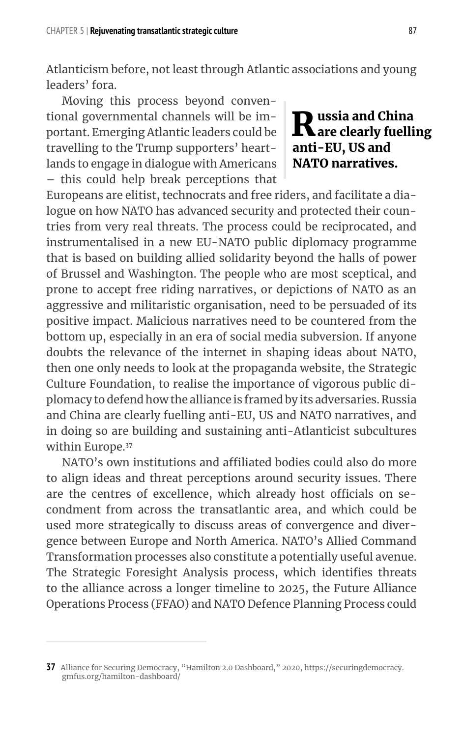Atlanticism before, not least through Atlantic associations and young leaders' fora.

Moving this process beyond conventional governmental channels will be important. Emerging Atlantic leaders could be travelling to the Trump supporters' heartlands to engage in dialogue with Americans – this could help break perceptions that

Europeans are elitist, technocrats and free riders, and facilitate a dialogue on how NATO has advanced security and protected their countries from very real threats. The process could be reciprocated, and instrumentalised in a new EU-NATO public diplomacy programme that is based on building allied solidarity beyond the halls of power of Brussel and Washington. The people who are most sceptical, and prone to accept free riding narratives, or depictions of NATO as an aggressive and militaristic organisation, need to be persuaded of its positive impact. Malicious narratives need to be countered from the bottom up, especially in an era of social media subversion. If anyone doubts the relevance of the internet in shaping ideas about NATO, then one only needs to look at the propaganda website, the Strategic Culture Foundation, to realise the importance of vigorous public diplomacy to defend how the alliance is framed by its adversaries. Russia and China are clearly fuelling anti-EU, US and NATO narratives, and in doing so are building and sustaining anti-Atlanticist subcultures within Europe.<sup>37</sup>

NATO's own institutions and affiliated bodies could also do more to align ideas and threat perceptions around security issues. There are the centres of excellence, which already host officials on secondment from across the transatlantic area, and which could be used more strategically to discuss areas of convergence and divergence between Europe and North America. NATO's Allied Command Transformation processes also constitute a potentially useful avenue. The Strategic Foresight Analysis process, which identifies threats to the alliance across a longer timeline to 2025, the Future Alliance Operations Process (FFAO) and NATO Defence Planning Process could

**R**ussia and China<br>Rare clearly fuelling

anti-EU, US and NATO narratives.

**<sup>37</sup>** Alliance for Securing Democracy, "Hamilton 2.0 Dashboard," 2020, https://securingdemocracy. gmfus.org/hamilton-dashboard/